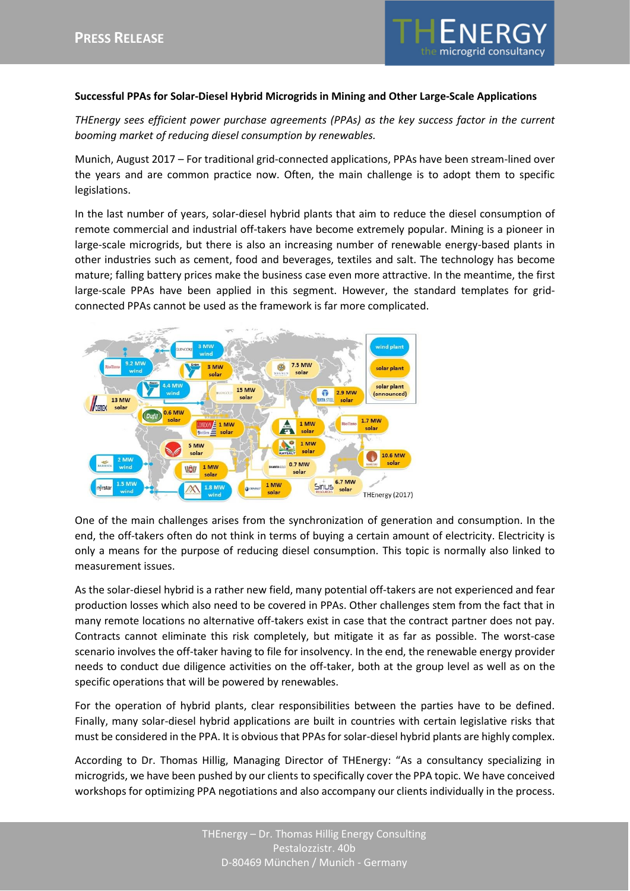

## **Successful PPAs for Solar-Diesel Hybrid Microgrids in Mining and Other Large-Scale Applications**

*THEnergy sees efficient power purchase agreements (PPAs) as the key success factor in the current booming market of reducing diesel consumption by renewables.*

Munich, August 2017 – For traditional grid-connected applications, PPAs have been stream-lined over the years and are common practice now. Often, the main challenge is to adopt them to specific legislations.

In the last number of years, solar-diesel hybrid plants that aim to reduce the diesel consumption of remote commercial and industrial off-takers have become extremely popular. Mining is a pioneer in large-scale microgrids, but there is also an increasing number of renewable energy-based plants in other industries such as cement, food and beverages, textiles and salt. The technology has become mature; falling battery prices make the business case even more attractive. In the meantime, the first large-scale PPAs have been applied in this segment. However, the standard templates for gridconnected PPAs cannot be used as the framework is far more complicated.



One of the main challenges arises from the synchronization of generation and consumption. In the end, the off-takers often do not think in terms of buying a certain amount of electricity. Electricity is only a means for the purpose of reducing diesel consumption. This topic is normally also linked to measurement issues.

As the solar-diesel hybrid is a rather new field, many potential off-takers are not experienced and fear production losses which also need to be covered in PPAs. Other challenges stem from the fact that in many remote locations no alternative off-takers exist in case that the contract partner does not pay. Contracts cannot eliminate this risk completely, but mitigate it as far as possible. The worst-case scenario involves the off-taker having to file for insolvency. In the end, the renewable energy provider needs to conduct due diligence activities on the off-taker, both at the group level as well as on the specific operations that will be powered by renewables.

For the operation of hybrid plants, clear responsibilities between the parties have to be defined. Finally, many solar-diesel hybrid applications are built in countries with certain legislative risks that must be considered in the PPA. It is obvious that PPAs for solar-diesel hybrid plants are highly complex.

According to Dr. Thomas Hillig, Managing Director of THEnergy: "As a consultancy specializing in microgrids, we have been pushed by our clients to specifically cover the PPA topic. We have conceived workshops for optimizing PPA negotiations and also accompany our clients individually in the process.